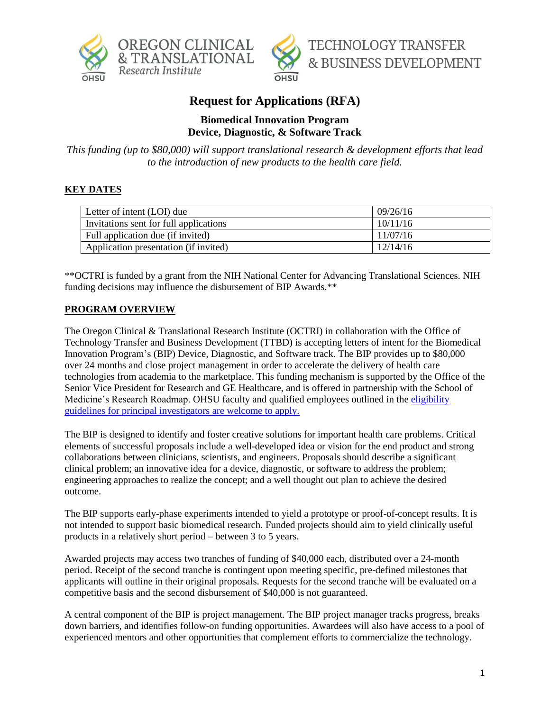



# **Request for Applications (RFA)**

## **Biomedical Innovation Program Device, Diagnostic, & Software Track**

*This funding (up to \$80,000) will support translational research & development efforts that lead to the introduction of new products to the health care field.*

# **KEY DATES**

| Letter of intent (LOI) due             | 09/26/16 |
|----------------------------------------|----------|
| Invitations sent for full applications | 10/11/16 |
| Full application due (if invited)      | 11/07/16 |
| Application presentation (if invited)  | 12/14/16 |

\*\*OCTRI is funded by a grant from the NIH National Center for Advancing Translational Sciences. NIH funding decisions may influence the disbursement of BIP Awards.\*\*

#### **PROGRAM OVERVIEW**

The Oregon Clinical & Translational Research Institute (OCTRI) in collaboration with the Office of Technology Transfer and Business Development (TTBD) is accepting letters of intent for the Biomedical Innovation Program's (BIP) Device, Diagnostic, and Software track. The BIP provides up to \$80,000 over 24 months and close project management in order to accelerate the delivery of health care technologies from academia to the marketplace. This funding mechanism is supported by the Office of the Senior Vice President for Research and GE Healthcare, and is offered in partnership with the School of Medicine's Research Roadmap. OHSU faculty and qualified employees outlined in the eligibility guidelines [for principal investigators](http://www.ohsu.edu/xd/research/administration/proposal-and-award-management/upload/04-00-005-100-Principal-Investigator-Eligibility-6-14-16.pdf) are welcome to apply.

The BIP is designed to identify and foster creative solutions for important health care problems. Critical elements of successful proposals include a well-developed idea or vision for the end product and strong collaborations between clinicians, scientists, and engineers. Proposals should describe a significant clinical problem; an innovative idea for a device, diagnostic, or software to address the problem; engineering approaches to realize the concept; and a well thought out plan to achieve the desired outcome.

The BIP supports early-phase experiments intended to yield a prototype or proof-of-concept results. It is not intended to support basic biomedical research. Funded projects should aim to yield clinically useful products in a relatively short period – between 3 to 5 years.

Awarded projects may access two tranches of funding of \$40,000 each, distributed over a 24-month period. Receipt of the second tranche is contingent upon meeting specific, pre-defined milestones that applicants will outline in their original proposals. Requests for the second tranche will be evaluated on a competitive basis and the second disbursement of \$40,000 is not guaranteed.

A central component of the BIP is project management. The BIP project manager tracks progress, breaks down barriers, and identifies follow-on funding opportunities. Awardees will also have access to a pool of experienced mentors and other opportunities that complement efforts to commercialize the technology.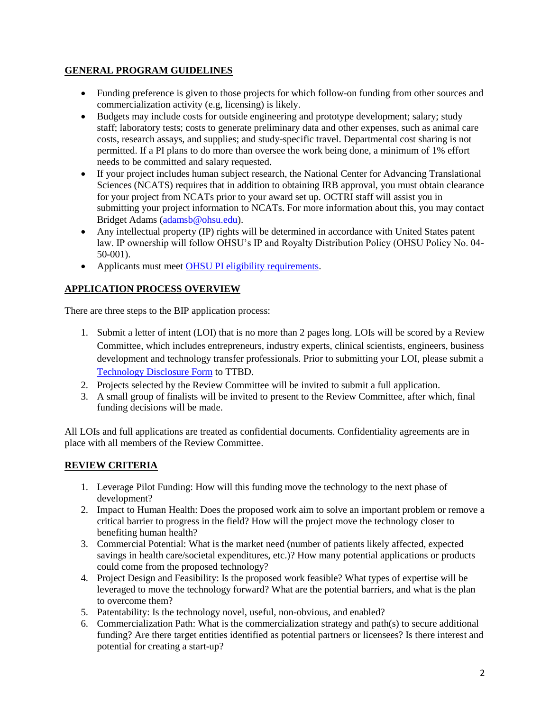## **GENERAL PROGRAM GUIDELINES**

- Funding preference is given to those projects for which follow-on funding from other sources and commercialization activity (e.g, licensing) is likely.
- Budgets may include costs for outside engineering and prototype development; salary; study staff; laboratory tests; costs to generate preliminary data and other expenses, such as animal care costs, research assays, and supplies; and study-specific travel. Departmental cost sharing is not permitted. If a PI plans to do more than oversee the work being done, a minimum of 1% effort needs to be committed and salary requested.
- If your project includes human subject research, the National Center for Advancing Translational Sciences (NCATS) requires that in addition to obtaining IRB approval, you must obtain clearance for your project from NCATs prior to your award set up. OCTRI staff will assist you in submitting your project information to NCATs. For more information about this, you may contact Bridget Adams [\(adamsb@ohsu.edu\)](mailto:adamsb@ohsu.edu).
- Any intellectual property (IP) rights will be determined in accordance with United States patent law. IP ownership will follow OHSU's IP and Royalty Distribution Policy (OHSU Policy No. 04- 50-001).
- Applicants must meet [OHSU PI eligibility requirements.](http://www.ohsu.edu/xd/research/administration/proposal-and-award-management/upload/04-00-005-100-Principal-Investigator-Eligibility-6-14-16.pdf)

# **APPLICATION PROCESS OVERVIEW**

There are three steps to the BIP application process:

- 1. Submit a letter of intent (LOI) that is no more than 2 pages long. LOIs will be scored by a Review Committee, which includes entrepreneurs, industry experts, clinical scientists, engineers, business development and technology transfer professionals. Prior to submitting your LOI, please submit a [Technology Disclosure Form](http://www.ohsu.edu/xd/research/techtransfer/forms-agreements/index.cfm) to TTBD.
- 2. Projects selected by the Review Committee will be invited to submit a full application.
- 3. A small group of finalists will be invited to present to the Review Committee, after which, final funding decisions will be made.

All LOIs and full applications are treated as confidential documents. Confidentiality agreements are in place with all members of the Review Committee.

#### **REVIEW CRITERIA**

- 1. Leverage Pilot Funding: How will this funding move the technology to the next phase of development?
- 2. Impact to Human Health: Does the proposed work aim to solve an important problem or remove a critical barrier to progress in the field? How will the project move the technology closer to benefiting human health?
- 3. Commercial Potential: What is the market need (number of patients likely affected, expected savings in health care/societal expenditures, etc.)? How many potential applications or products could come from the proposed technology?
- 4. Project Design and Feasibility: Is the proposed work feasible? What types of expertise will be leveraged to move the technology forward? What are the potential barriers, and what is the plan to overcome them?
- 5. Patentability: Is the technology novel, useful, non-obvious, and enabled?
- 6. Commercialization Path: What is the commercialization strategy and path(s) to secure additional funding? Are there target entities identified as potential partners or licensees? Is there interest and potential for creating a start-up?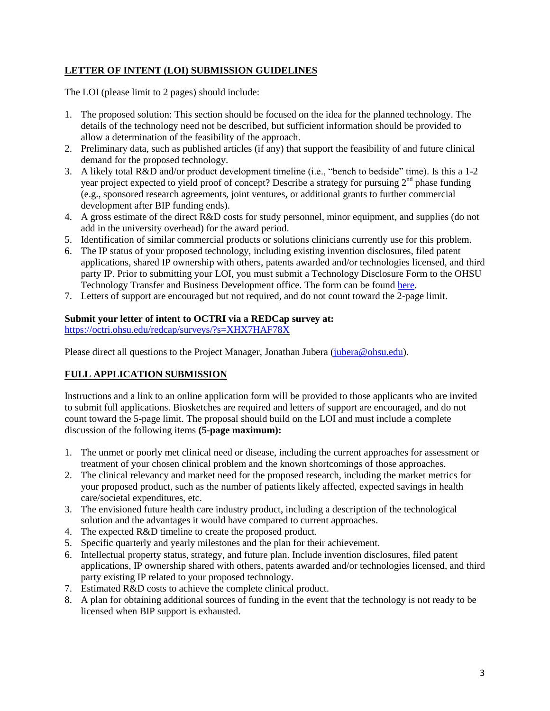## **LETTER OF INTENT (LOI) SUBMISSION GUIDELINES**

The LOI (please limit to 2 pages) should include:

- 1. The proposed solution: This section should be focused on the idea for the planned technology. The details of the technology need not be described, but sufficient information should be provided to allow a determination of the feasibility of the approach.
- 2. Preliminary data, such as published articles (if any) that support the feasibility of and future clinical demand for the proposed technology.
- 3. A likely total R&D and/or product development timeline (i.e., "bench to bedside" time). Is this a 1-2 year project expected to yield proof of concept? Describe a strategy for pursuing  $2<sup>nd</sup>$  phase funding (e.g., sponsored research agreements, joint ventures, or additional grants to further commercial development after BIP funding ends).
- 4. A gross estimate of the direct R&D costs for study personnel, minor equipment, and supplies (do not add in the university overhead) for the award period.
- 5. Identification of similar commercial products or solutions clinicians currently use for this problem.
- 6. The IP status of your proposed technology, including existing invention disclosures, filed patent applications, shared IP ownership with others, patents awarded and/or technologies licensed, and third party IP. Prior to submitting your LOI, you must submit a Technology Disclosure Form to the OHSU Technology Transfer and Business Development office. The form can be found [here.](http://www.ohsu.edu/xd/research/techtransfer/forms-agreements/index.cfm)
- 7. Letters of support are encouraged but not required, and do not count toward the 2-page limit.

#### **Submit your letter of intent to OCTRI via a REDCap survey at:**

<https://octri.ohsu.edu/redcap/surveys/?s=XHX7HAF78X>

Please direct all questions to the Project Manager, Jonathan Jubera [\(jubera@ohsu.edu\)](mailto:jubera@ohsu.edu).

# **FULL APPLICATION SUBMISSION**

Instructions and a link to an online application form will be provided to those applicants who are invited to submit full applications. Biosketches are required and letters of support are encouraged, and do not count toward the 5-page limit. The proposal should build on the LOI and must include a complete discussion of the following items **(5-page maximum):**

- 1. The unmet or poorly met clinical need or disease, including the current approaches for assessment or treatment of your chosen clinical problem and the known shortcomings of those approaches.
- 2. The clinical relevancy and market need for the proposed research, including the market metrics for your proposed product, such as the number of patients likely affected, expected savings in health care/societal expenditures, etc.
- 3. The envisioned future health care industry product, including a description of the technological solution and the advantages it would have compared to current approaches.
- 4. The expected R&D timeline to create the proposed product.
- 5. Specific quarterly and yearly milestones and the plan for their achievement.
- 6. Intellectual property status, strategy, and future plan. Include invention disclosures, filed patent applications, IP ownership shared with others, patents awarded and/or technologies licensed, and third party existing IP related to your proposed technology.
- 7. Estimated R&D costs to achieve the complete clinical product.
- 8. A plan for obtaining additional sources of funding in the event that the technology is not ready to be licensed when BIP support is exhausted.